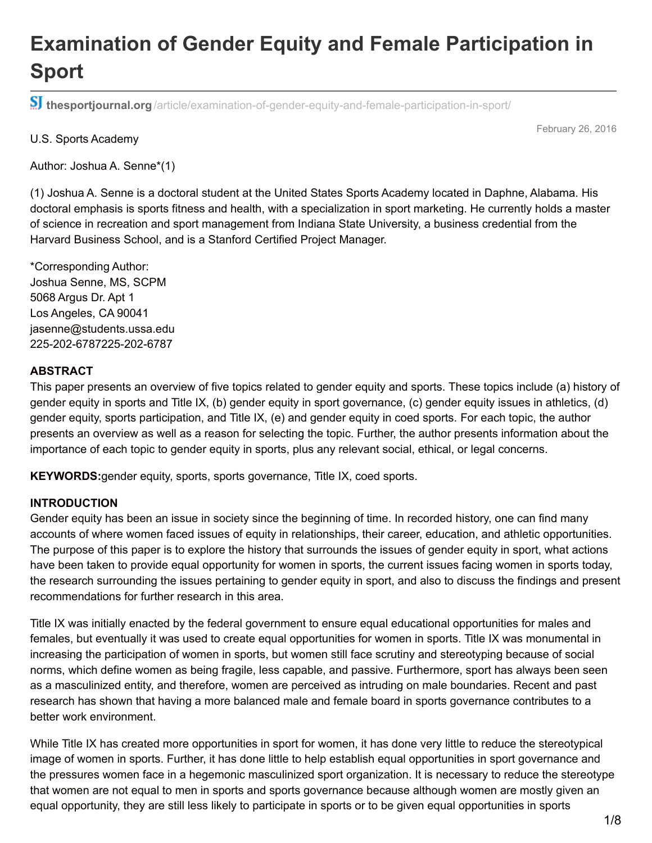# **Examination of Gender Equity and Female Participation in Sport**

**thesportjournal.org**[/article/examination-of-gender-equity-and-female-participation-in-sport/](http://thesportjournal.org/article/examination-of-gender-equity-and-female-participation-in-sport/)

#### U.S. Sports Academy

February 26, 2016

Author: Joshua A. Senne\*(1)

(1) Joshua A. Senne is a doctoral student at the United States Sports Academy located in Daphne, Alabama. His doctoral emphasis is sports fitness and health, with a specialization in sport marketing. He currently holds a master of science in recreation and sport management from Indiana State University, a business credential from the Harvard Business School, and is a Stanford Certified Project Manager.

\*Corresponding Author: Joshua Senne, MS, SCPM 5068 Argus Dr. Apt 1 Los Angeles, CA 90041 jasenne@students.ussa.edu 225-202-6787225-202-6787

#### **ABSTRACT**

This paper presents an overview of five topics related to gender equity and sports. These topics include (a) history of gender equity in sports and Title IX, (b) gender equity in sport governance, (c) gender equity issues in athletics, (d) gender equity, sports participation, and Title IX, (e) and gender equity in coed sports. For each topic, the author presents an overview as well as a reason for selecting the topic. Further, the author presents information about the importance of each topic to gender equity in sports, plus any relevant social, ethical, or legal concerns.

**KEYWORDS:**gender equity, sports, sports governance, Title IX, coed sports.

#### **INTRODUCTION**

Gender equity has been an issue in society since the beginning of time. In recorded history, one can find many accounts of where women faced issues of equity in relationships, their career, education, and athletic opportunities. The purpose of this paper is to explore the history that surrounds the issues of gender equity in sport, what actions have been taken to provide equal opportunity for women in sports, the current issues facing women in sports today, the research surrounding the issues pertaining to gender equity in sport, and also to discuss the findings and present recommendations for further research in this area.

Title IX was initially enacted by the federal government to ensure equal educational opportunities for males and females, but eventually it was used to create equal opportunities for women in sports. Title IX was monumental in increasing the participation of women in sports, but women still face scrutiny and stereotyping because of social norms, which define women as being fragile, less capable, and passive. Furthermore, sport has always been seen as a masculinized entity, and therefore, women are perceived as intruding on male boundaries. Recent and past research has shown that having a more balanced male and female board in sports governance contributes to a better work environment.

While Title IX has created more opportunities in sport for women, it has done very little to reduce the stereotypical image of women in sports. Further, it has done little to help establish equal opportunities in sport governance and the pressures women face in a hegemonic masculinized sport organization. It is necessary to reduce the stereotype that women are not equal to men in sports and sports governance because although women are mostly given an equal opportunity, they are still less likely to participate in sports or to be given equal opportunities in sports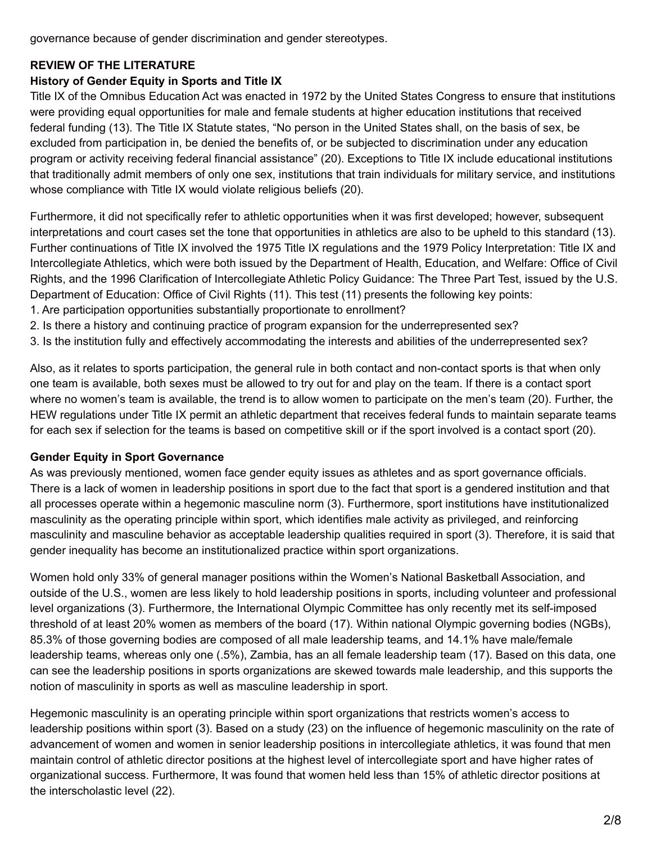governance because of gender discrimination and gender stereotypes.

## **REVIEW OF THE LITERATURE**

## **History of Gender Equity in Sports and Title IX**

Title IX of the Omnibus Education Act was enacted in 1972 by the United States Congress to ensure that institutions were providing equal opportunities for male and female students at higher education institutions that received federal funding (13). The Title IX Statute states, "No person in the United States shall, on the basis of sex, be excluded from participation in, be denied the benefits of, or be subjected to discrimination under any education program or activity receiving federal financial assistance" (20). Exceptions to Title IX include educational institutions that traditionally admit members of only one sex, institutions that train individuals for military service, and institutions whose compliance with Title IX would violate religious beliefs (20).

Furthermore, it did not specifically refer to athletic opportunities when it was first developed; however, subsequent interpretations and court cases set the tone that opportunities in athletics are also to be upheld to this standard (13). Further continuations of Title IX involved the 1975 Title IX regulations and the 1979 Policy Interpretation: Title IX and Intercollegiate Athletics, which were both issued by the Department of Health, Education, and Welfare: Office of Civil Rights, and the 1996 Clarification of Intercollegiate Athletic Policy Guidance: The Three Part Test, issued by the U.S. Department of Education: Office of Civil Rights (11). This test (11) presents the following key points:

- 1. Are participation opportunities substantially proportionate to enrollment?
- 2. Is there a history and continuing practice of program expansion for the underrepresented sex?
- 3. Is the institution fully and effectively accommodating the interests and abilities of the underrepresented sex?

Also, as it relates to sports participation, the general rule in both contact and non-contact sports is that when only one team is available, both sexes must be allowed to try out for and play on the team. If there is a contact sport where no women's team is available, the trend is to allow women to participate on the men's team (20). Further, the HEW regulations under Title IX permit an athletic department that receives federal funds to maintain separate teams for each sex if selection for the teams is based on competitive skill or if the sport involved is a contact sport (20).

## **Gender Equity in Sport Governance**

As was previously mentioned, women face gender equity issues as athletes and as sport governance officials. There is a lack of women in leadership positions in sport due to the fact that sport is a gendered institution and that all processes operate within a hegemonic masculine norm (3). Furthermore, sport institutions have institutionalized masculinity as the operating principle within sport, which identifies male activity as privileged, and reinforcing masculinity and masculine behavior as acceptable leadership qualities required in sport (3). Therefore, it is said that gender inequality has become an institutionalized practice within sport organizations.

Women hold only 33% of general manager positions within the Women's National Basketball Association, and outside of the U.S., women are less likely to hold leadership positions in sports, including volunteer and professional level organizations (3). Furthermore, the International Olympic Committee has only recently met its self-imposed threshold of at least 20% women as members of the board (17). Within national Olympic governing bodies (NGBs), 85.3% of those governing bodies are composed of all male leadership teams, and 14.1% have male/female leadership teams, whereas only one (.5%), Zambia, has an all female leadership team (17). Based on this data, one can see the leadership positions in sports organizations are skewed towards male leadership, and this supports the notion of masculinity in sports as well as masculine leadership in sport.

Hegemonic masculinity is an operating principle within sport organizations that restricts women's access to leadership positions within sport (3). Based on a study (23) on the influence of hegemonic masculinity on the rate of advancement of women and women in senior leadership positions in intercollegiate athletics, it was found that men maintain control of athletic director positions at the highest level of intercollegiate sport and have higher rates of organizational success. Furthermore, It was found that women held less than 15% of athletic director positions at the interscholastic level (22).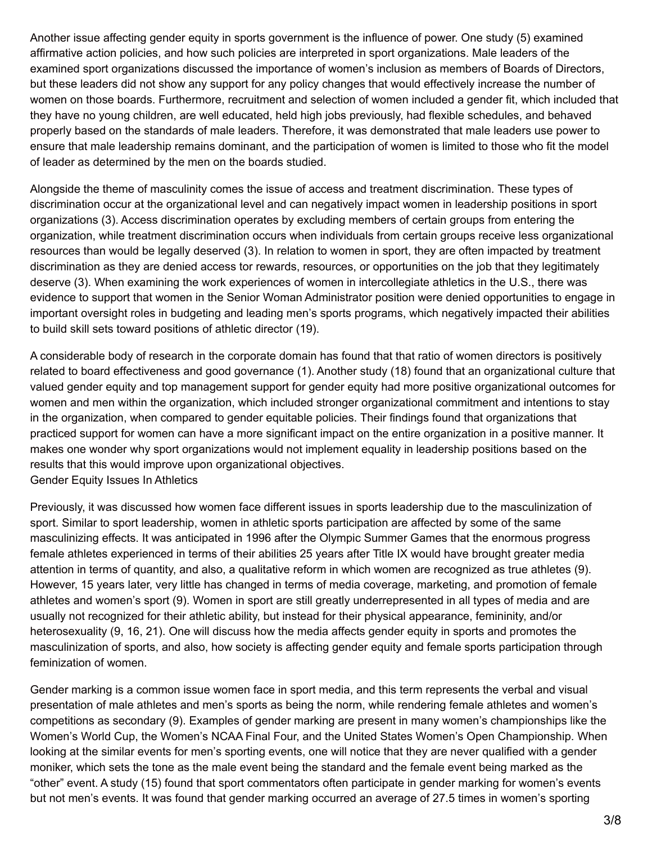Another issue affecting gender equity in sports government is the influence of power. One study (5) examined affirmative action policies, and how such policies are interpreted in sport organizations. Male leaders of the examined sport organizations discussed the importance of women's inclusion as members of Boards of Directors, but these leaders did not show any support for any policy changes that would effectively increase the number of women on those boards. Furthermore, recruitment and selection of women included a gender fit, which included that they have no young children, are well educated, held high jobs previously, had flexible schedules, and behaved properly based on the standards of male leaders. Therefore, it was demonstrated that male leaders use power to ensure that male leadership remains dominant, and the participation of women is limited to those who fit the model of leader as determined by the men on the boards studied.

Alongside the theme of masculinity comes the issue of access and treatment discrimination. These types of discrimination occur at the organizational level and can negatively impact women in leadership positions in sport organizations (3). Access discrimination operates by excluding members of certain groups from entering the organization, while treatment discrimination occurs when individuals from certain groups receive less organizational resources than would be legally deserved (3). In relation to women in sport, they are often impacted by treatment discrimination as they are denied access tor rewards, resources, or opportunities on the job that they legitimately deserve (3). When examining the work experiences of women in intercollegiate athletics in the U.S., there was evidence to support that women in the Senior Woman Administrator position were denied opportunities to engage in important oversight roles in budgeting and leading men's sports programs, which negatively impacted their abilities to build skill sets toward positions of athletic director (19).

A considerable body of research in the corporate domain has found that that ratio of women directors is positively related to board effectiveness and good governance (1). Another study (18) found that an organizational culture that valued gender equity and top management support for gender equity had more positive organizational outcomes for women and men within the organization, which included stronger organizational commitment and intentions to stay in the organization, when compared to gender equitable policies. Their findings found that organizations that practiced support for women can have a more significant impact on the entire organization in a positive manner. It makes one wonder why sport organizations would not implement equality in leadership positions based on the results that this would improve upon organizational objectives. Gender Equity Issues In Athletics

Previously, it was discussed how women face different issues in sports leadership due to the masculinization of sport. Similar to sport leadership, women in athletic sports participation are affected by some of the same masculinizing effects. It was anticipated in 1996 after the Olympic Summer Games that the enormous progress female athletes experienced in terms of their abilities 25 years after Title IX would have brought greater media attention in terms of quantity, and also, a qualitative reform in which women are recognized as true athletes (9). However, 15 years later, very little has changed in terms of media coverage, marketing, and promotion of female athletes and women's sport (9). Women in sport are still greatly underrepresented in all types of media and are usually not recognized for their athletic ability, but instead for their physical appearance, femininity, and/or heterosexuality (9, 16, 21). One will discuss how the media affects gender equity in sports and promotes the masculinization of sports, and also, how society is affecting gender equity and female sports participation through feminization of women.

Gender marking is a common issue women face in sport media, and this term represents the verbal and visual presentation of male athletes and men's sports as being the norm, while rendering female athletes and women's competitions as secondary (9). Examples of gender marking are present in many women's championships like the Women's World Cup, the Women's NCAA Final Four, and the United States Women's Open Championship. When looking at the similar events for men's sporting events, one will notice that they are never qualified with a gender moniker, which sets the tone as the male event being the standard and the female event being marked as the "other" event. A study (15) found that sport commentators often participate in gender marking for women's events but not men's events. It was found that gender marking occurred an average of 27.5 times in women's sporting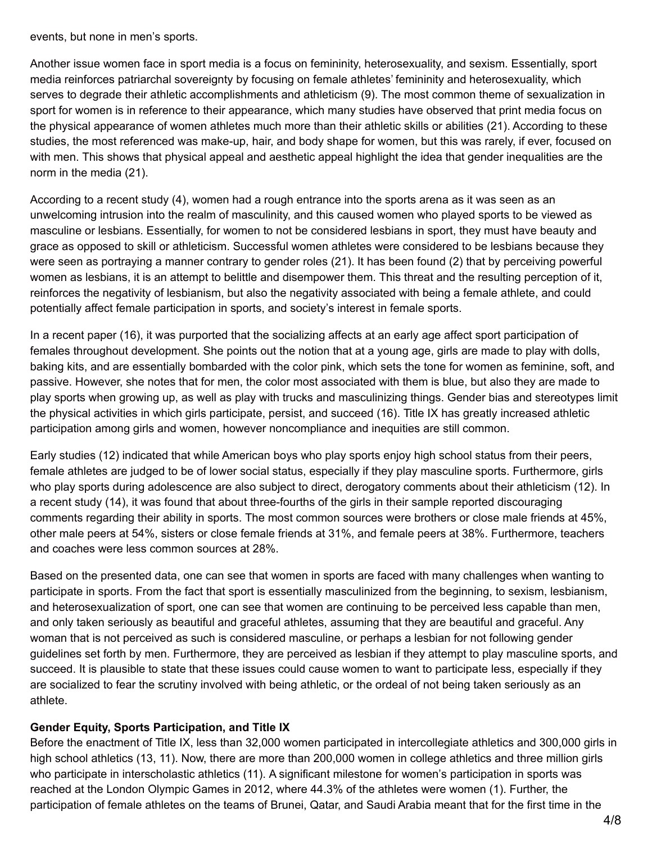events, but none in men's sports.

Another issue women face in sport media is a focus on femininity, heterosexuality, and sexism. Essentially, sport media reinforces patriarchal sovereignty by focusing on female athletes' femininity and heterosexuality, which serves to degrade their athletic accomplishments and athleticism (9). The most common theme of sexualization in sport for women is in reference to their appearance, which many studies have observed that print media focus on the physical appearance of women athletes much more than their athletic skills or abilities (21). According to these studies, the most referenced was make-up, hair, and body shape for women, but this was rarely, if ever, focused on with men. This shows that physical appeal and aesthetic appeal highlight the idea that gender inequalities are the norm in the media (21).

According to a recent study (4), women had a rough entrance into the sports arena as it was seen as an unwelcoming intrusion into the realm of masculinity, and this caused women who played sports to be viewed as masculine or lesbians. Essentially, for women to not be considered lesbians in sport, they must have beauty and grace as opposed to skill or athleticism. Successful women athletes were considered to be lesbians because they were seen as portraying a manner contrary to gender roles (21). It has been found (2) that by perceiving powerful women as lesbians, it is an attempt to belittle and disempower them. This threat and the resulting perception of it, reinforces the negativity of lesbianism, but also the negativity associated with being a female athlete, and could potentially affect female participation in sports, and society's interest in female sports.

In a recent paper (16), it was purported that the socializing affects at an early age affect sport participation of females throughout development. She points out the notion that at a young age, girls are made to play with dolls, baking kits, and are essentially bombarded with the color pink, which sets the tone for women as feminine, soft, and passive. However, she notes that for men, the color most associated with them is blue, but also they are made to play sports when growing up, as well as play with trucks and masculinizing things. Gender bias and stereotypes limit the physical activities in which girls participate, persist, and succeed (16). Title IX has greatly increased athletic participation among girls and women, however noncompliance and inequities are still common.

Early studies (12) indicated that while American boys who play sports enjoy high school status from their peers, female athletes are judged to be of lower social status, especially if they play masculine sports. Furthermore, girls who play sports during adolescence are also subject to direct, derogatory comments about their athleticism (12). In a recent study (14), it was found that about three-fourths of the girls in their sample reported discouraging comments regarding their ability in sports. The most common sources were brothers or close male friends at 45%, other male peers at 54%, sisters or close female friends at 31%, and female peers at 38%. Furthermore, teachers and coaches were less common sources at 28%.

Based on the presented data, one can see that women in sports are faced with many challenges when wanting to participate in sports. From the fact that sport is essentially masculinized from the beginning, to sexism, lesbianism, and heterosexualization of sport, one can see that women are continuing to be perceived less capable than men, and only taken seriously as beautiful and graceful athletes, assuming that they are beautiful and graceful. Any woman that is not perceived as such is considered masculine, or perhaps a lesbian for not following gender guidelines set forth by men. Furthermore, they are perceived as lesbian if they attempt to play masculine sports, and succeed. It is plausible to state that these issues could cause women to want to participate less, especially if they are socialized to fear the scrutiny involved with being athletic, or the ordeal of not being taken seriously as an athlete.

## **Gender Equity, Sports Participation, and Title IX**

Before the enactment of Title IX, less than 32,000 women participated in intercollegiate athletics and 300,000 girls in high school athletics (13, 11). Now, there are more than 200,000 women in college athletics and three million girls who participate in interscholastic athletics (11). A significant milestone for women's participation in sports was reached at the London Olympic Games in 2012, where 44.3% of the athletes were women (1). Further, the participation of female athletes on the teams of Brunei, Qatar, and Saudi Arabia meant that for the first time in the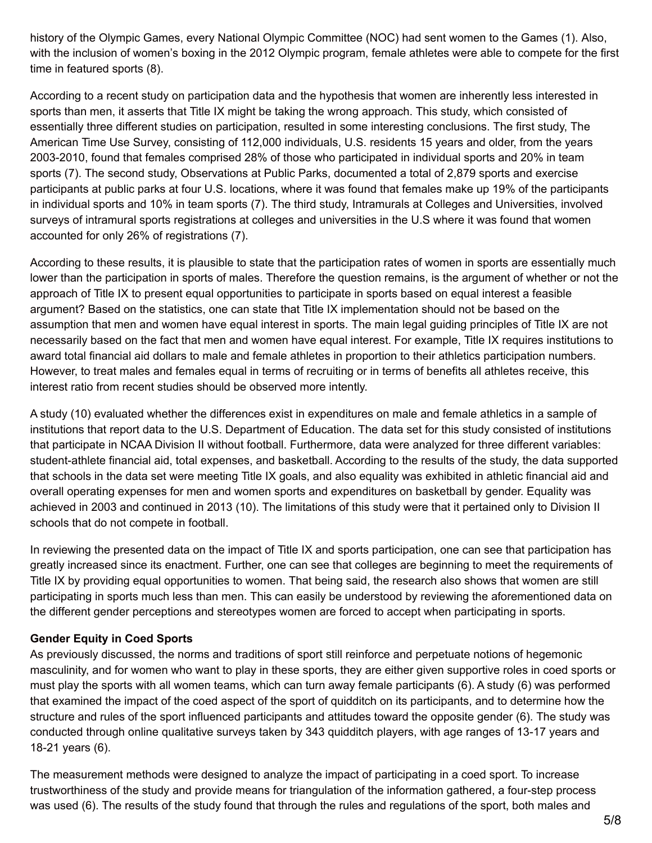history of the Olympic Games, every National Olympic Committee (NOC) had sent women to the Games (1). Also, with the inclusion of women's boxing in the 2012 Olympic program, female athletes were able to compete for the first time in featured sports (8).

According to a recent study on participation data and the hypothesis that women are inherently less interested in sports than men, it asserts that Title IX might be taking the wrong approach. This study, which consisted of essentially three different studies on participation, resulted in some interesting conclusions. The first study, The American Time Use Survey, consisting of 112,000 individuals, U.S. residents 15 years and older, from the years 2003-2010, found that females comprised 28% of those who participated in individual sports and 20% in team sports (7). The second study, Observations at Public Parks, documented a total of 2,879 sports and exercise participants at public parks at four U.S. locations, where it was found that females make up 19% of the participants in individual sports and 10% in team sports (7). The third study, Intramurals at Colleges and Universities, involved surveys of intramural sports registrations at colleges and universities in the U.S where it was found that women accounted for only 26% of registrations (7).

According to these results, it is plausible to state that the participation rates of women in sports are essentially much lower than the participation in sports of males. Therefore the question remains, is the argument of whether or not the approach of Title IX to present equal opportunities to participate in sports based on equal interest a feasible argument? Based on the statistics, one can state that Title IX implementation should not be based on the assumption that men and women have equal interest in sports. The main legal guiding principles of Title IX are not necessarily based on the fact that men and women have equal interest. For example, Title IX requires institutions to award total financial aid dollars to male and female athletes in proportion to their athletics participation numbers. However, to treat males and females equal in terms of recruiting or in terms of benefits all athletes receive, this interest ratio from recent studies should be observed more intently.

A study (10) evaluated whether the differences exist in expenditures on male and female athletics in a sample of institutions that report data to the U.S. Department of Education. The data set for this study consisted of institutions that participate in NCAA Division II without football. Furthermore, data were analyzed for three different variables: student-athlete financial aid, total expenses, and basketball. According to the results of the study, the data supported that schools in the data set were meeting Title IX goals, and also equality was exhibited in athletic financial aid and overall operating expenses for men and women sports and expenditures on basketball by gender. Equality was achieved in 2003 and continued in 2013 (10). The limitations of this study were that it pertained only to Division II schools that do not compete in football.

In reviewing the presented data on the impact of Title IX and sports participation, one can see that participation has greatly increased since its enactment. Further, one can see that colleges are beginning to meet the requirements of Title IX by providing equal opportunities to women. That being said, the research also shows that women are still participating in sports much less than men. This can easily be understood by reviewing the aforementioned data on the different gender perceptions and stereotypes women are forced to accept when participating in sports.

## **Gender Equity in Coed Sports**

As previously discussed, the norms and traditions of sport still reinforce and perpetuate notions of hegemonic masculinity, and for women who want to play in these sports, they are either given supportive roles in coed sports or must play the sports with all women teams, which can turn away female participants (6). A study (6) was performed that examined the impact of the coed aspect of the sport of quidditch on its participants, and to determine how the structure and rules of the sport influenced participants and attitudes toward the opposite gender (6). The study was conducted through online qualitative surveys taken by 343 quidditch players, with age ranges of 13-17 years and 18-21 years (6).

The measurement methods were designed to analyze the impact of participating in a coed sport. To increase trustworthiness of the study and provide means for triangulation of the information gathered, a four-step process was used (6). The results of the study found that through the rules and regulations of the sport, both males and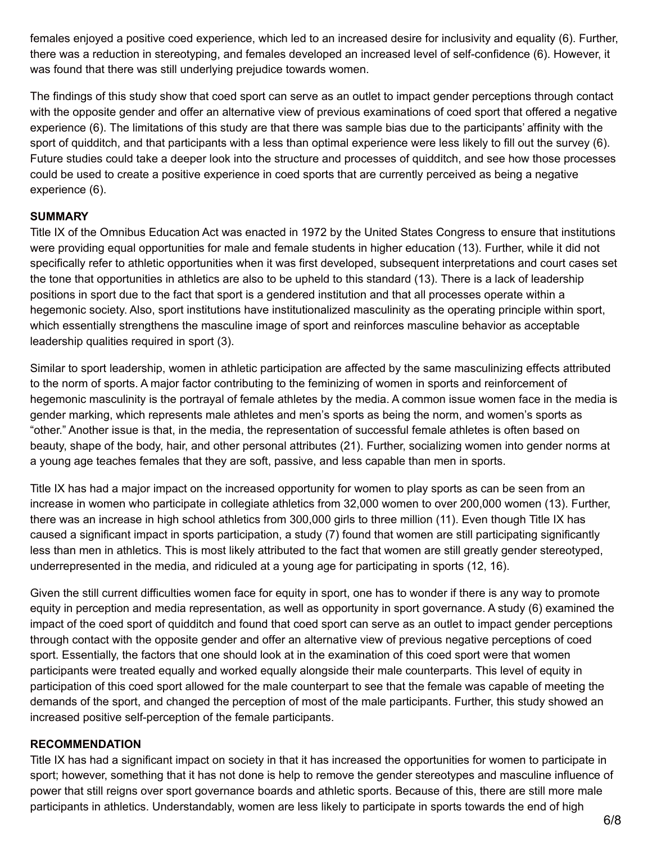females enjoyed a positive coed experience, which led to an increased desire for inclusivity and equality (6). Further, there was a reduction in stereotyping, and females developed an increased level of self-confidence (6). However, it was found that there was still underlying prejudice towards women.

The findings of this study show that coed sport can serve as an outlet to impact gender perceptions through contact with the opposite gender and offer an alternative view of previous examinations of coed sport that offered a negative experience (6). The limitations of this study are that there was sample bias due to the participants' affinity with the sport of quidditch, and that participants with a less than optimal experience were less likely to fill out the survey (6). Future studies could take a deeper look into the structure and processes of quidditch, and see how those processes could be used to create a positive experience in coed sports that are currently perceived as being a negative experience (6).

#### **SUMMARY**

Title IX of the Omnibus Education Act was enacted in 1972 by the United States Congress to ensure that institutions were providing equal opportunities for male and female students in higher education (13). Further, while it did not specifically refer to athletic opportunities when it was first developed, subsequent interpretations and court cases set the tone that opportunities in athletics are also to be upheld to this standard (13). There is a lack of leadership positions in sport due to the fact that sport is a gendered institution and that all processes operate within a hegemonic society. Also, sport institutions have institutionalized masculinity as the operating principle within sport, which essentially strengthens the masculine image of sport and reinforces masculine behavior as acceptable leadership qualities required in sport (3).

Similar to sport leadership, women in athletic participation are affected by the same masculinizing effects attributed to the norm of sports. A major factor contributing to the feminizing of women in sports and reinforcement of hegemonic masculinity is the portrayal of female athletes by the media. A common issue women face in the media is gender marking, which represents male athletes and men's sports as being the norm, and women's sports as "other." Another issue is that, in the media, the representation of successful female athletes is often based on beauty, shape of the body, hair, and other personal attributes (21). Further, socializing women into gender norms at a young age teaches females that they are soft, passive, and less capable than men in sports.

Title IX has had a major impact on the increased opportunity for women to play sports as can be seen from an increase in women who participate in collegiate athletics from 32,000 women to over 200,000 women (13). Further, there was an increase in high school athletics from 300,000 girls to three million (11). Even though Title IX has caused a significant impact in sports participation, a study (7) found that women are still participating significantly less than men in athletics. This is most likely attributed to the fact that women are still greatly gender stereotyped, underrepresented in the media, and ridiculed at a young age for participating in sports (12, 16).

Given the still current difficulties women face for equity in sport, one has to wonder if there is any way to promote equity in perception and media representation, as well as opportunity in sport governance. A study (6) examined the impact of the coed sport of quidditch and found that coed sport can serve as an outlet to impact gender perceptions through contact with the opposite gender and offer an alternative view of previous negative perceptions of coed sport. Essentially, the factors that one should look at in the examination of this coed sport were that women participants were treated equally and worked equally alongside their male counterparts. This level of equity in participation of this coed sport allowed for the male counterpart to see that the female was capable of meeting the demands of the sport, and changed the perception of most of the male participants. Further, this study showed an increased positive self-perception of the female participants.

## **RECOMMENDATION**

Title IX has had a significant impact on society in that it has increased the opportunities for women to participate in sport; however, something that it has not done is help to remove the gender stereotypes and masculine influence of power that still reigns over sport governance boards and athletic sports. Because of this, there are still more male participants in athletics. Understandably, women are less likely to participate in sports towards the end of high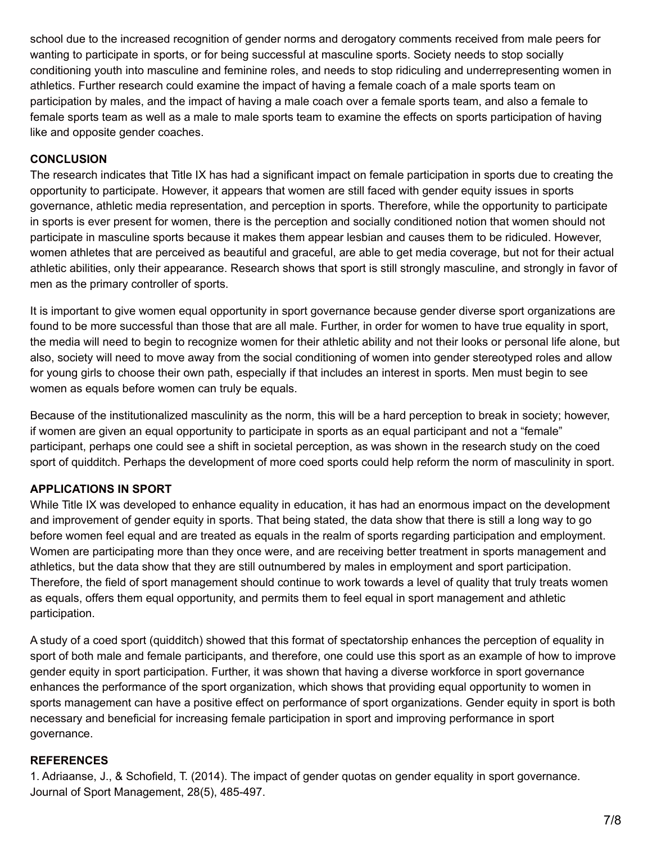school due to the increased recognition of gender norms and derogatory comments received from male peers for wanting to participate in sports, or for being successful at masculine sports. Society needs to stop socially conditioning youth into masculine and feminine roles, and needs to stop ridiculing and underrepresenting women in athletics. Further research could examine the impact of having a female coach of a male sports team on participation by males, and the impact of having a male coach over a female sports team, and also a female to female sports team as well as a male to male sports team to examine the effects on sports participation of having like and opposite gender coaches.

## **CONCLUSION**

The research indicates that Title IX has had a significant impact on female participation in sports due to creating the opportunity to participate. However, it appears that women are still faced with gender equity issues in sports governance, athletic media representation, and perception in sports. Therefore, while the opportunity to participate in sports is ever present for women, there is the perception and socially conditioned notion that women should not participate in masculine sports because it makes them appear lesbian and causes them to be ridiculed. However, women athletes that are perceived as beautiful and graceful, are able to get media coverage, but not for their actual athletic abilities, only their appearance. Research shows that sport is still strongly masculine, and strongly in favor of men as the primary controller of sports.

It is important to give women equal opportunity in sport governance because gender diverse sport organizations are found to be more successful than those that are all male. Further, in order for women to have true equality in sport, the media will need to begin to recognize women for their athletic ability and not their looks or personal life alone, but also, society will need to move away from the social conditioning of women into gender stereotyped roles and allow for young girls to choose their own path, especially if that includes an interest in sports. Men must begin to see women as equals before women can truly be equals.

Because of the institutionalized masculinity as the norm, this will be a hard perception to break in society; however, if women are given an equal opportunity to participate in sports as an equal participant and not a "female" participant, perhaps one could see a shift in societal perception, as was shown in the research study on the coed sport of quidditch. Perhaps the development of more coed sports could help reform the norm of masculinity in sport.

## **APPLICATIONS IN SPORT**

While Title IX was developed to enhance equality in education, it has had an enormous impact on the development and improvement of gender equity in sports. That being stated, the data show that there is still a long way to go before women feel equal and are treated as equals in the realm of sports regarding participation and employment. Women are participating more than they once were, and are receiving better treatment in sports management and athletics, but the data show that they are still outnumbered by males in employment and sport participation. Therefore, the field of sport management should continue to work towards a level of quality that truly treats women as equals, offers them equal opportunity, and permits them to feel equal in sport management and athletic participation.

A study of a coed sport (quidditch) showed that this format of spectatorship enhances the perception of equality in sport of both male and female participants, and therefore, one could use this sport as an example of how to improve gender equity in sport participation. Further, it was shown that having a diverse workforce in sport governance enhances the performance of the sport organization, which shows that providing equal opportunity to women in sports management can have a positive effect on performance of sport organizations. Gender equity in sport is both necessary and beneficial for increasing female participation in sport and improving performance in sport governance.

#### **REFERENCES**

1. Adriaanse, J., & Schofield, T. (2014). The impact of gender quotas on gender equality in sport governance. Journal of Sport Management, 28(5), 485-497.